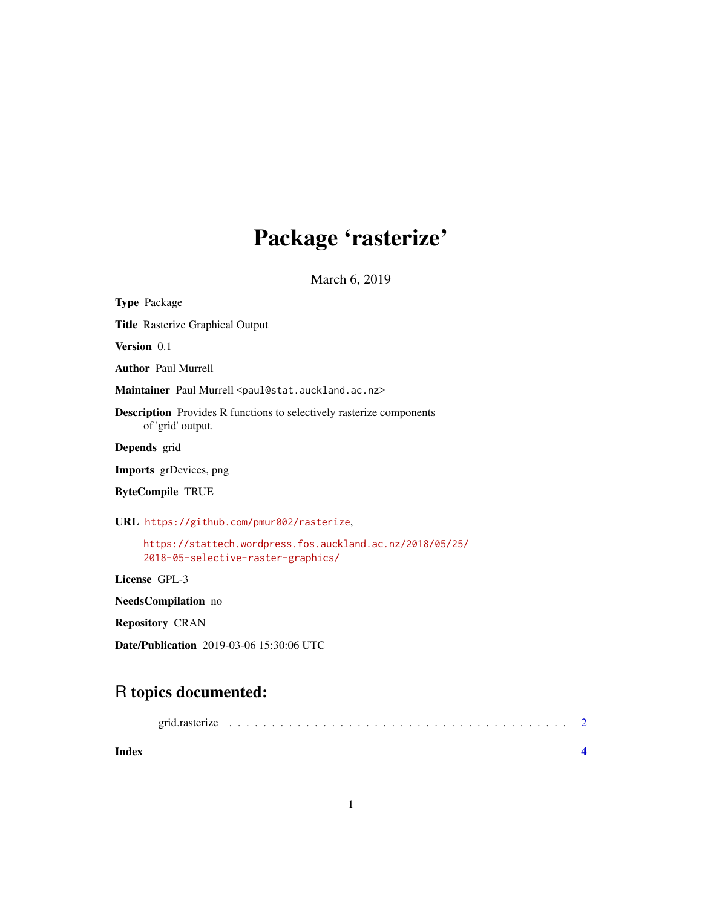## Package 'rasterize'

March 6, 2019

Type Package Title Rasterize Graphical Output Version 0.1 Author Paul Murrell Maintainer Paul Murrell <paul@stat.auckland.ac.nz> Description Provides R functions to selectively rasterize components of 'grid' output. Depends grid Imports grDevices, png ByteCompile TRUE URL <https://github.com/pmur002/rasterize>, [https://stattech.wordpress.fos.auckland.ac.nz/2018/05/25/](https://stattech.wordpress.fos.auckland.ac.nz/2018/05/25/2018-05-selective-raster-graphics/) [2018-05-selective-raster-graphics/](https://stattech.wordpress.fos.auckland.ac.nz/2018/05/25/2018-05-selective-raster-graphics/) License GPL-3

NeedsCompilation no

Repository CRAN

Date/Publication 2019-03-06 15:30:06 UTC

### R topics documented:

| Index |  |  |  |  |  |  |  |  |  |  |  |  |  |  |  |
|-------|--|--|--|--|--|--|--|--|--|--|--|--|--|--|--|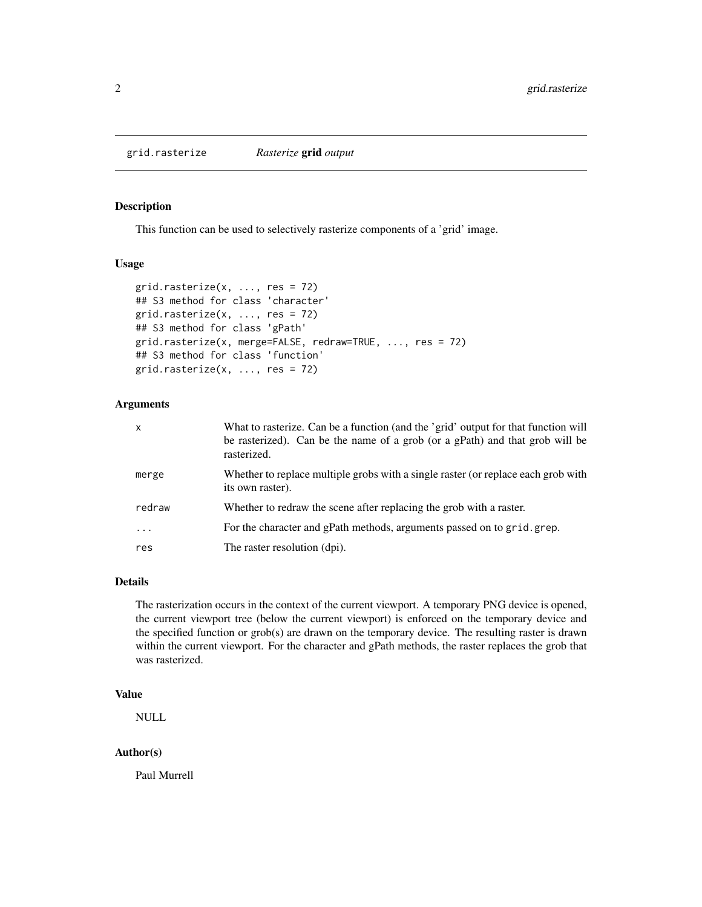<span id="page-1-0"></span>grid.rasterize *Rasterize* grid *output*

#### Description

This function can be used to selectively rasterize components of a 'grid' image.

#### Usage

```
grid.rasterize(x, \ldots, \text{res} = 72)## S3 method for class 'character'
grid.rasterize(x, \ldots, \text{res} = 72)## S3 method for class 'gPath'
grid.rasterize(x, merge=FALSE, redraw=TRUE, ..., res = 72)
## S3 method for class 'function'
grid.rasterize(x, \ldots, \text{res} = 72)
```
#### Arguments

| X        | What to rasterize. Can be a function (and the 'grid' output for that function will<br>be rasterized). Can be the name of a grob (or a gPath) and that grob will be<br>rasterized. |
|----------|-----------------------------------------------------------------------------------------------------------------------------------------------------------------------------------|
| merge    | Whether to replace multiple grobs with a single raster (or replace each grob with<br>its own raster).                                                                             |
| redraw   | Whether to redraw the scene after replacing the grob with a raster.                                                                                                               |
| $\cdots$ | For the character and gPath methods, arguments passed on to grid.grep.                                                                                                            |
| res      | The raster resolution (dpi).                                                                                                                                                      |

#### Details

The rasterization occurs in the context of the current viewport. A temporary PNG device is opened, the current viewport tree (below the current viewport) is enforced on the temporary device and the specified function or grob(s) are drawn on the temporary device. The resulting raster is drawn within the current viewport. For the character and gPath methods, the raster replaces the grob that was rasterized.

#### Value

NULL

#### Author(s)

Paul Murrell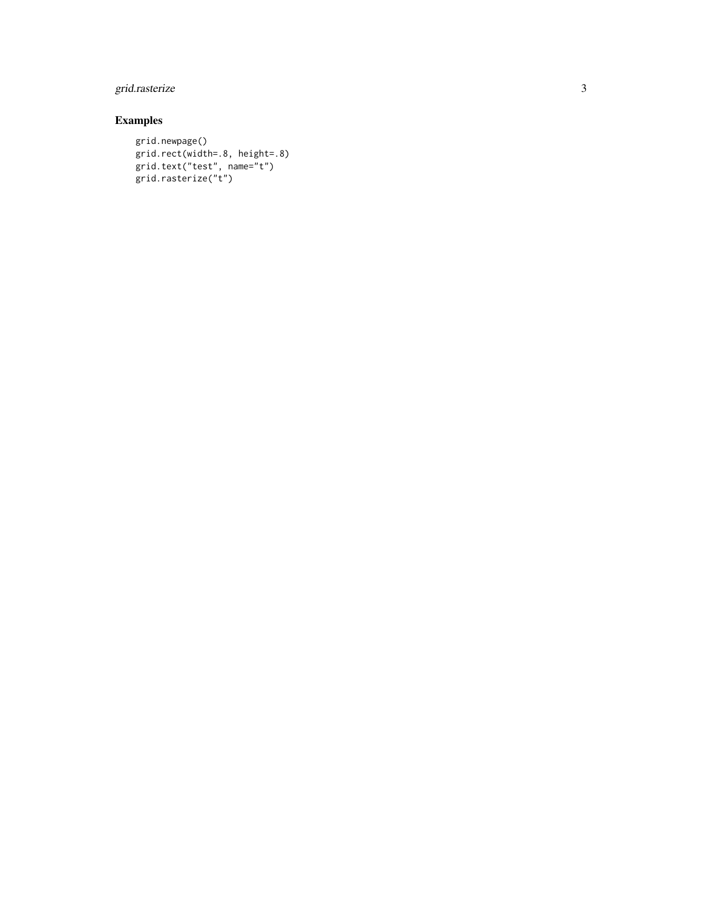#### grid.rasterize

#### Examples

```
grid.newpage()
grid.rect(width=.8, height=.8)
grid.text("test", name="t")
grid.rasterize("t")
```